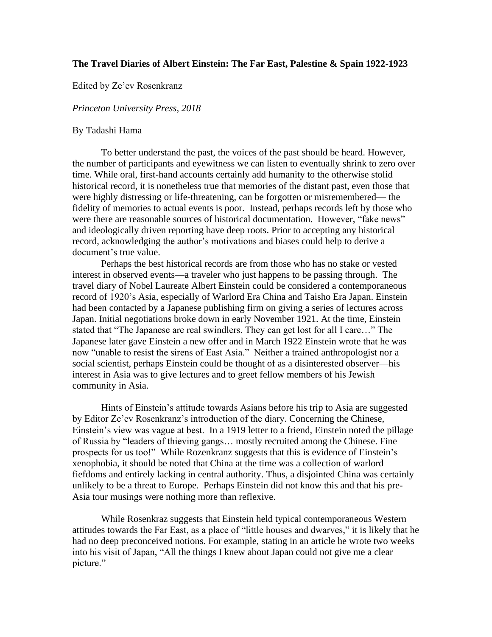## **The Travel Diaries of Albert Einstein: The Far East, Palestine & Spain 1922-1923**

Edited by Ze'ev Rosenkranz

*Princeton University Press, 2018*

## By Tadashi Hama

To better understand the past, the voices of the past should be heard. However, the number of participants and eyewitness we can listen to eventually shrink to zero over time. While oral, first-hand accounts certainly add humanity to the otherwise stolid historical record, it is nonetheless true that memories of the distant past, even those that were highly distressing or life-threatening, can be forgotten or misremembered— the fidelity of memories to actual events is poor. Instead, perhaps records left by those who were there are reasonable sources of historical documentation. However, "fake news" and ideologically driven reporting have deep roots. Prior to accepting any historical record, acknowledging the author's motivations and biases could help to derive a document's true value.

Perhaps the best historical records are from those who has no stake or vested interest in observed events—a traveler who just happens to be passing through. The travel diary of Nobel Laureate Albert Einstein could be considered a contemporaneous record of 1920's Asia, especially of Warlord Era China and Taisho Era Japan. Einstein had been contacted by a Japanese publishing firm on giving a series of lectures across Japan. Initial negotiations broke down in early November 1921. At the time, Einstein stated that "The Japanese are real swindlers. They can get lost for all I care…" The Japanese later gave Einstein a new offer and in March 1922 Einstein wrote that he was now "unable to resist the sirens of East Asia." Neither a trained anthropologist nor a social scientist, perhaps Einstein could be thought of as a disinterested observer—his interest in Asia was to give lectures and to greet fellow members of his Jewish community in Asia.

Hints of Einstein's attitude towards Asians before his trip to Asia are suggested by Editor Ze'ev Rosenkranz's introduction of the diary. Concerning the Chinese, Einstein's view was vague at best. In a 1919 letter to a friend, Einstein noted the pillage of Russia by "leaders of thieving gangs… mostly recruited among the Chinese. Fine prospects for us too!" While Rozenkranz suggests that this is evidence of Einstein's xenophobia, it should be noted that China at the time was a collection of warlord fiefdoms and entirely lacking in central authority. Thus, a disjointed China was certainly unlikely to be a threat to Europe. Perhaps Einstein did not know this and that his pre-Asia tour musings were nothing more than reflexive.

While Rosenkraz suggests that Einstein held typical contemporaneous Western attitudes towards the Far East, as a place of "little houses and dwarves," it is likely that he had no deep preconceived notions. For example, stating in an article he wrote two weeks into his visit of Japan, "All the things I knew about Japan could not give me a clear picture."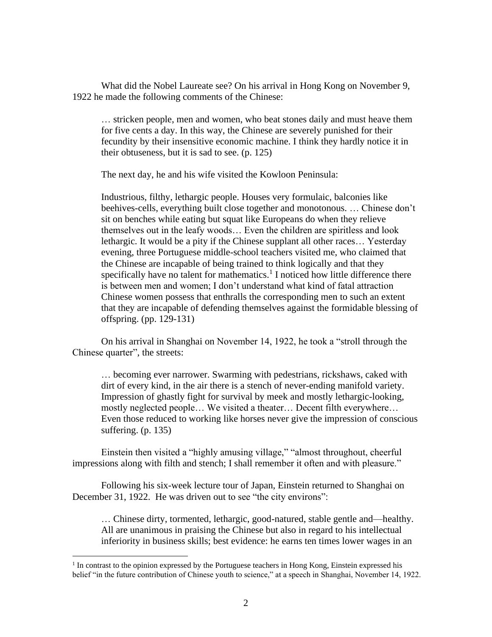What did the Nobel Laureate see? On his arrival in Hong Kong on November 9, 1922 he made the following comments of the Chinese:

… stricken people, men and women, who beat stones daily and must heave them for five cents a day. In this way, the Chinese are severely punished for their fecundity by their insensitive economic machine. I think they hardly notice it in their obtuseness, but it is sad to see. (p. 125)

The next day, he and his wife visited the Kowloon Peninsula:

Industrious, filthy, lethargic people. Houses very formulaic, balconies like beehives-cells, everything built close together and monotonous. … Chinese don't sit on benches while eating but squat like Europeans do when they relieve themselves out in the leafy woods… Even the children are spiritless and look lethargic. It would be a pity if the Chinese supplant all other races… Yesterday evening, three Portuguese middle-school teachers visited me, who claimed that the Chinese are incapable of being trained to think logically and that they specifically have no talent for mathematics.<sup>1</sup> I noticed how little difference there is between men and women; I don't understand what kind of fatal attraction Chinese women possess that enthralls the corresponding men to such an extent that they are incapable of defending themselves against the formidable blessing of offspring. (pp. 129-131)

On his arrival in Shanghai on November 14, 1922, he took a "stroll through the Chinese quarter", the streets:

… becoming ever narrower. Swarming with pedestrians, rickshaws, caked with dirt of every kind, in the air there is a stench of never-ending manifold variety. Impression of ghastly fight for survival by meek and mostly lethargic-looking, mostly neglected people… We visited a theater… Decent filth everywhere… Even those reduced to working like horses never give the impression of conscious suffering. (p. 135)

Einstein then visited a "highly amusing village," "almost throughout, cheerful impressions along with filth and stench; I shall remember it often and with pleasure."

Following his six-week lecture tour of Japan, Einstein returned to Shanghai on December 31, 1922. He was driven out to see "the city environs":

… Chinese dirty, tormented, lethargic, good-natured, stable gentle and—healthy. All are unanimous in praising the Chinese but also in regard to his intellectual inferiority in business skills; best evidence: he earns ten times lower wages in an

<sup>&</sup>lt;sup>1</sup> In contrast to the opinion expressed by the Portuguese teachers in Hong Kong, Einstein expressed his belief "in the future contribution of Chinese youth to science," at a speech in Shanghai, November 14, 1922.